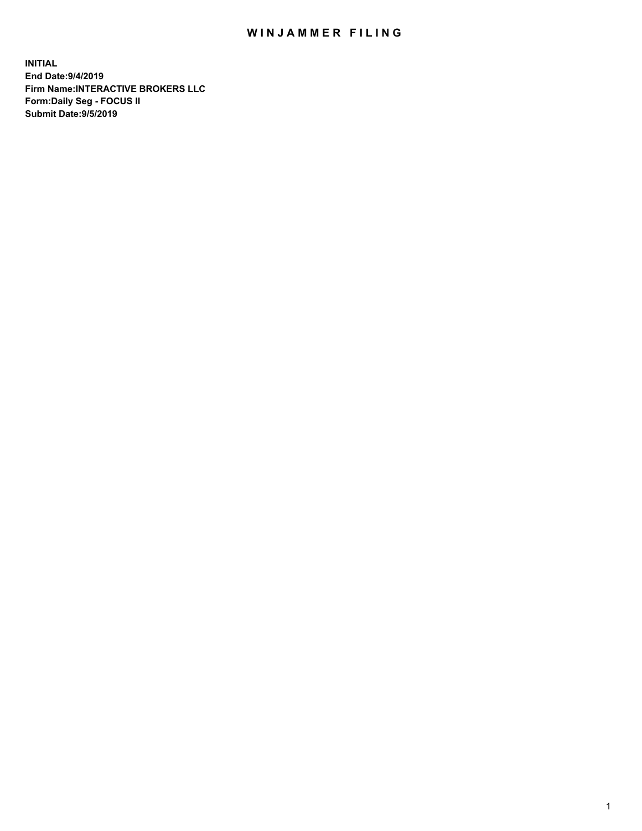## WIN JAMMER FILING

**INITIAL End Date:9/4/2019 Firm Name:INTERACTIVE BROKERS LLC Form:Daily Seg - FOCUS II Submit Date:9/5/2019**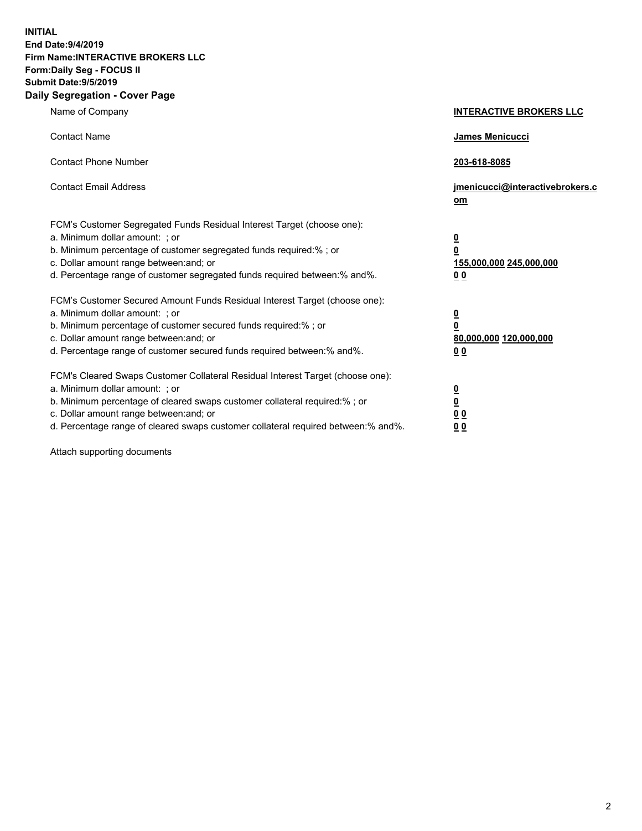**INITIAL End Date:9/4/2019 Firm Name:INTERACTIVE BROKERS LLC Form:Daily Seg - FOCUS II Submit Date:9/5/2019 Daily Segregation - Cover Page**

| Name of Company                                                                                                                                                                                                                                                                                                                | <b>INTERACTIVE BROKERS LLC</b>                                                      |
|--------------------------------------------------------------------------------------------------------------------------------------------------------------------------------------------------------------------------------------------------------------------------------------------------------------------------------|-------------------------------------------------------------------------------------|
| <b>Contact Name</b>                                                                                                                                                                                                                                                                                                            | James Menicucci                                                                     |
| <b>Contact Phone Number</b>                                                                                                                                                                                                                                                                                                    | 203-618-8085                                                                        |
| <b>Contact Email Address</b>                                                                                                                                                                                                                                                                                                   | jmenicucci@interactivebrokers.c<br>om                                               |
| FCM's Customer Segregated Funds Residual Interest Target (choose one):<br>a. Minimum dollar amount: ; or<br>b. Minimum percentage of customer segregated funds required:% ; or<br>c. Dollar amount range between: and; or<br>d. Percentage range of customer segregated funds required between:% and%.                         | $\overline{\mathbf{0}}$<br>$\overline{\mathbf{0}}$<br>155,000,000 245,000,000<br>00 |
| FCM's Customer Secured Amount Funds Residual Interest Target (choose one):<br>a. Minimum dollar amount: ; or<br>b. Minimum percentage of customer secured funds required:% ; or<br>c. Dollar amount range between: and; or<br>d. Percentage range of customer secured funds required between:% and%.                           | $\overline{\mathbf{0}}$<br>$\pmb{0}$<br>80,000,000 120,000,000<br>00                |
| FCM's Cleared Swaps Customer Collateral Residual Interest Target (choose one):<br>a. Minimum dollar amount: ; or<br>b. Minimum percentage of cleared swaps customer collateral required:% ; or<br>c. Dollar amount range between: and; or<br>d. Percentage range of cleared swaps customer collateral required between:% and%. | $\overline{\mathbf{0}}$<br>$\underline{\mathbf{0}}$<br>0 <sub>0</sub><br>00         |

Attach supporting documents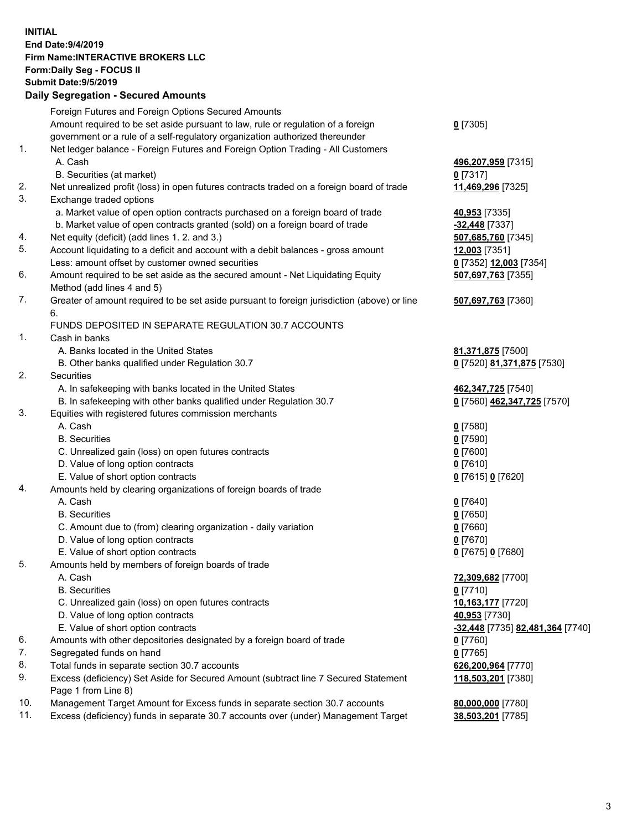## **INITIAL End Date:9/4/2019 Firm Name:INTERACTIVE BROKERS LLC Form:Daily Seg - FOCUS II Submit Date:9/5/2019 Daily Segregation - Secured Amounts**

|                | Dany Ocgregation - Oceaned Anioante                                                               |                                                      |
|----------------|---------------------------------------------------------------------------------------------------|------------------------------------------------------|
|                | Foreign Futures and Foreign Options Secured Amounts                                               |                                                      |
|                | Amount required to be set aside pursuant to law, rule or regulation of a foreign                  | $0$ [7305]                                           |
|                | government or a rule of a self-regulatory organization authorized thereunder                      |                                                      |
| $\mathbf{1}$ . | Net ledger balance - Foreign Futures and Foreign Option Trading - All Customers                   |                                                      |
|                | A. Cash                                                                                           | 496,207,959 [7315]                                   |
|                | B. Securities (at market)                                                                         | $0$ [7317]                                           |
| 2.             | Net unrealized profit (loss) in open futures contracts traded on a foreign board of trade         | 11,469,296 [7325]                                    |
| 3.             | Exchange traded options                                                                           |                                                      |
|                | a. Market value of open option contracts purchased on a foreign board of trade                    | 40,953 [7335]                                        |
|                | b. Market value of open contracts granted (sold) on a foreign board of trade                      | -32,448 [7337]                                       |
| 4.             | Net equity (deficit) (add lines 1. 2. and 3.)                                                     | 507,685,760 [7345]                                   |
| 5.             | Account liquidating to a deficit and account with a debit balances - gross amount                 | 12,003 [7351]                                        |
|                | Less: amount offset by customer owned securities                                                  | 0 [7352] 12,003 [7354]                               |
| 6.             | Amount required to be set aside as the secured amount - Net Liquidating Equity                    | 507,697,763 [7355]                                   |
|                | Method (add lines 4 and 5)                                                                        |                                                      |
| 7.             | Greater of amount required to be set aside pursuant to foreign jurisdiction (above) or line<br>6. | 507,697,763 [7360]                                   |
|                | FUNDS DEPOSITED IN SEPARATE REGULATION 30.7 ACCOUNTS                                              |                                                      |
| $\mathbf{1}$ . | Cash in banks                                                                                     |                                                      |
|                | A. Banks located in the United States                                                             | 81,371,875 [7500]                                    |
|                | B. Other banks qualified under Regulation 30.7                                                    | 0 [7520] 81,371,875 [7530]                           |
| 2.             | Securities                                                                                        |                                                      |
|                | A. In safekeeping with banks located in the United States                                         | 462,347,725 [7540]                                   |
|                | B. In safekeeping with other banks qualified under Regulation 30.7                                | 0 [7560] 462,347,725 [7570]                          |
| 3.             | Equities with registered futures commission merchants                                             |                                                      |
|                | A. Cash                                                                                           | $0$ [7580]                                           |
|                | <b>B.</b> Securities                                                                              | $0$ [7590]                                           |
|                | C. Unrealized gain (loss) on open futures contracts                                               | $0$ [7600]                                           |
|                | D. Value of long option contracts                                                                 | $0$ [7610]                                           |
|                | E. Value of short option contracts                                                                | 0 [7615] 0 [7620]                                    |
| 4.             | Amounts held by clearing organizations of foreign boards of trade                                 |                                                      |
|                | A. Cash                                                                                           | $0$ [7640]                                           |
|                | <b>B.</b> Securities                                                                              | $0$ [7650]                                           |
|                | C. Amount due to (from) clearing organization - daily variation                                   | $0$ [7660]                                           |
|                | D. Value of long option contracts                                                                 | $0$ [7670]                                           |
|                | E. Value of short option contracts                                                                | 0 [7675] 0 [7680]                                    |
| 5.             | Amounts held by members of foreign boards of trade                                                |                                                      |
|                | A. Cash                                                                                           | 72,309,682 [7700]                                    |
|                | <b>B.</b> Securities                                                                              | $0$ [7710]                                           |
|                | C. Unrealized gain (loss) on open futures contracts                                               | 10,163,177 [7720]                                    |
|                | D. Value of long option contracts                                                                 | 40,953 [7730]                                        |
|                | E. Value of short option contracts                                                                | <mark>-32,448</mark> [7735] <b>82,481,364</b> [7740] |
| 6.             | Amounts with other depositories designated by a foreign board of trade                            | 0 [7760]                                             |
| 7.             | Segregated funds on hand                                                                          | $0$ [7765]                                           |
| 8.             | Total funds in separate section 30.7 accounts                                                     | 626,200,964 [7770]                                   |
| 9.             | Excess (deficiency) Set Aside for Secured Amount (subtract line 7 Secured Statement               | 118,503,201 [7380]                                   |
|                | Page 1 from Line 8)                                                                               |                                                      |
| 10.            | Management Target Amount for Excess funds in separate section 30.7 accounts                       | 80,000,000 [7780]                                    |
| 11.            | Excess (deficiency) funds in separate 30.7 accounts over (under) Management Target                | 38,503,201 [7785]                                    |
|                |                                                                                                   |                                                      |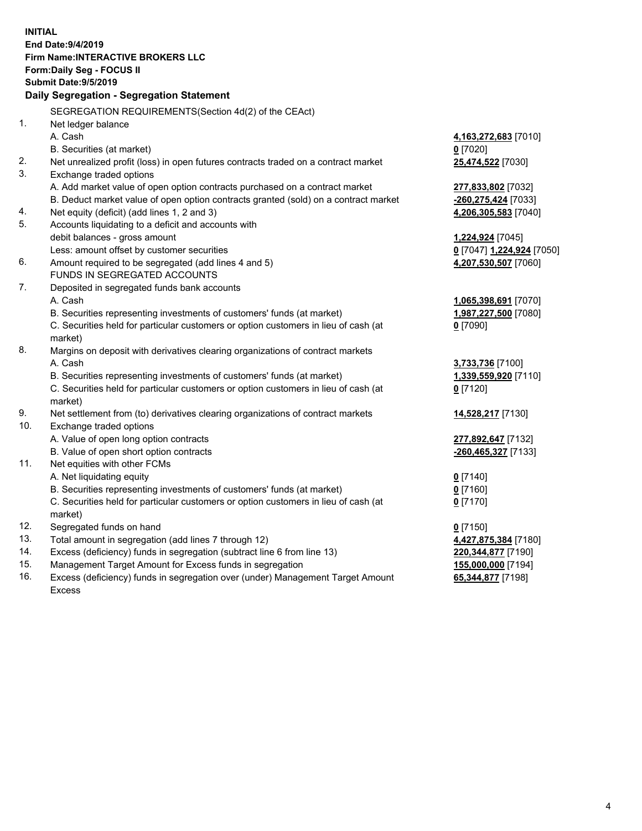|     | <b>INITIAL</b>                                                                      |                           |
|-----|-------------------------------------------------------------------------------------|---------------------------|
|     | End Date: 9/4/2019                                                                  |                           |
|     | <b>Firm Name: INTERACTIVE BROKERS LLC</b>                                           |                           |
|     | Form: Daily Seg - FOCUS II                                                          |                           |
|     | <b>Submit Date: 9/5/2019</b>                                                        |                           |
|     | Daily Segregation - Segregation Statement                                           |                           |
|     | SEGREGATION REQUIREMENTS (Section 4d(2) of the CEAct)                               |                           |
| 1.  | Net ledger balance                                                                  |                           |
|     | A. Cash                                                                             | 4,163,272,683 [7010]      |
|     | B. Securities (at market)                                                           | $0$ [7020]                |
| 2.  | Net unrealized profit (loss) in open futures contracts traded on a contract market  | 25,474,522 [7030]         |
| 3.  | Exchange traded options                                                             |                           |
|     | A. Add market value of open option contracts purchased on a contract market         | 277,833,802 [7032]        |
|     | B. Deduct market value of open option contracts granted (sold) on a contract market | -260,275,424 [7033]       |
| 4.  | Net equity (deficit) (add lines 1, 2 and 3)                                         | 4,206,305,583 [7040]      |
| 5.  | Accounts liquidating to a deficit and accounts with                                 |                           |
|     | debit balances - gross amount                                                       | 1,224,924 [7045]          |
|     | Less: amount offset by customer securities                                          | 0 [7047] 1,224,924 [7050] |
| 6.  | Amount required to be segregated (add lines 4 and 5)                                | 4,207,530,507 [7060]      |
|     | FUNDS IN SEGREGATED ACCOUNTS                                                        |                           |
| 7.  | Deposited in segregated funds bank accounts                                         |                           |
|     | A. Cash                                                                             | 1,065,398,691 [7070]      |
|     | B. Securities representing investments of customers' funds (at market)              | 1,987,227,500 [7080]      |
|     | C. Securities held for particular customers or option customers in lieu of cash (at | $0$ [7090]                |
|     | market)                                                                             |                           |
| 8.  | Margins on deposit with derivatives clearing organizations of contract markets      |                           |
|     | A. Cash                                                                             | 3,733,736 [7100]          |
|     | B. Securities representing investments of customers' funds (at market)              | 1,339,559,920 [7110]      |
|     | C. Securities held for particular customers or option customers in lieu of cash (at | $0$ [7120]                |
|     | market)                                                                             |                           |
| 9.  | Net settlement from (to) derivatives clearing organizations of contract markets     | 14,528,217 [7130]         |
| 10. | Exchange traded options                                                             |                           |
|     | A. Value of open long option contracts                                              | 277,892,647 [7132]        |
| 11. | B. Value of open short option contracts                                             | -260,465,327 [7133]       |
|     | Net equities with other FCMs<br>A. Net liquidating equity                           |                           |
|     | B. Securities representing investments of customers' funds (at market)              | $0$ [7140]<br>$0$ [7160]  |
|     | C. Securities held for particular customers or option customers in lieu of cash (at | 0 <sup>[7170]</sup>       |
|     | market)                                                                             |                           |
| 12. | Segregated funds on hand                                                            | $0$ [7150]                |
| 13. | Total amount in segregation (add lines 7 through 12)                                | 4,427,875,384 [7180]      |
| 14. | Excess (deficiency) funds in segregation (subtract line 6 from line 13)             | 220, 344, 877 [7190]      |
| 15. | Management Target Amount for Excess funds in segregation                            | 155,000,000 [7194]        |
| 16. | Excess (deficiency) funds in segregation over (under) Management Target Amount      | 65,344,877 [7198]         |

Excess